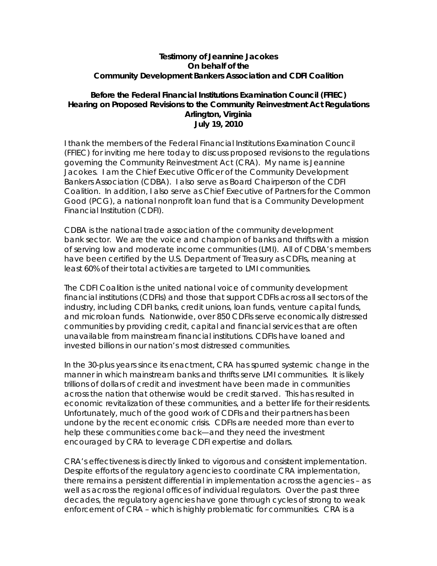## **Testimony of Jeannine Jacokes On behalf of the Community Development Bankers Association and CDFI Coalition**

### **Before the Federal Financial Institutions Examination Council (FFIEC) Hearing on Proposed Revisions to the Community Reinvestment Act Regulations Arlington, Virginia July 19, 2010**

I thank the members of the Federal Financial Institutions Examination Council (FFIEC) for inviting me here today to discuss proposed revisions to the regulations governing the Community Reinvestment Act (CRA). My name is Jeannine Jacokes. I am the Chief Executive Officer of the Community Development Bankers Association (CDBA). I also serve as Board Chairperson of the CDFI Coalition. In addition, I also serve as Chief Executive of Partners for the Common Good (PCG), a national nonprofit loan fund that is a Community Development Financial Institution (CDFI).

CDBA is the national trade association of the community development bank sector. We are the voice and champion of banks and thrifts with a mission of serving low and moderate income communities (LMI). All of CDBA's members have been certified by the U.S. Department of Treasury as CDFIs, meaning at least 60% of their total activities are targeted to LMI communities.

The CDFI Coalition is the united national voice of community development financial institutions (CDFIs) and those that support CDFIs across all sectors of the industry, including CDFI banks, credit unions, loan funds, venture capital funds, and microloan funds. Nationwide, over 850 CDFIs serve economically distressed communities by providing credit, capital and financial services that are often unavailable from mainstream financial institutions. CDFIs have loaned and invested billions in our nation's most distressed communities.

In the 30-plus years since its enactment, CRA has spurred systemic change in the manner in which mainstream banks and thrifts serve LMI communities. It is likely trillions of dollars of credit and investment have been made in communities across the nation that otherwise would be credit starved. This has resulted in economic revitalization of these communities, and a better life for their residents. Unfortunately, much of the good work of CDFIs and their partners has been undone by the recent economic crisis. CDFIs are needed more than ever to help these communities come back—and they need the investment encouraged by CRA to leverage CDFI expertise and dollars.

CRA's effectiveness is directly linked to vigorous and consistent implementation. Despite efforts of the regulatory agencies to coordinate CRA implementation, there remains a persistent differential in implementation across the agencies – as well as across the regional offices of individual regulators. Over the past three decades, the regulatory agencies have gone through cycles of strong to weak enforcement of CRA – which is highly problematic for communities. CRA is a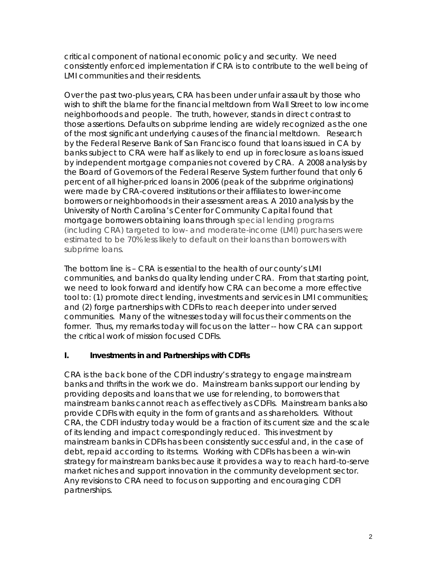critical component of national economic policy and security. We need consistently enforced implementation if CRA is to contribute to the well being of LMI communities and their residents.

Over the past two-plus years, CRA has been under unfair assault by those who wish to shift the blame for the financial meltdown from Wall Street to low income neighborhoods and people. The truth, however, stands in direct contrast to those assertions. Defaults on subprime lending are widely recognized as the one of the most significant underlying causes of the financial meltdown. Research by the Federal Reserve Bank of San Francisco found that loans issued in CA by banks subject to CRA were half as likely to end up in foreclosure as loans issued by independent mortgage companies not covered by CRA. A 2008 analysis by the Board of Governors of the Federal Reserve System further found that only 6 percent of all higher-priced loans in 2006 (peak of the subprime originations) were made by CRA-covered institutions or their affiliates to lower-income borrowers or neighborhoods in their assessment areas. A 2010 analysis by the University of North Carolina's Center for Community Capital found that mortgage borrowers obtaining loans through special lending programs (including CRA) targeted to low- and moderate-income (LMI) purchasers were estimated to be 70% less likely to default on their loans than borrowers with subprime loans.

The bottom line is – CRA is essential to the health of our county's LMI communities, and banks do quality lending under CRA. From that starting point, we need to look forward and identify how CRA can become a more effective tool to: (1) promote direct lending, investments and services in LMI communities; and (2) forge partnerships with CDFIs to reach deeper into under served communities. Many of the witnesses today will focus their comments on the former. Thus, my remarks today will focus on the latter -- how CRA can support the critical work of mission focused CDFIs.

# **I. Investments in and Partnerships with CDFIs**

CRA is the back bone of the CDFI industry's strategy to engage mainstream banks and thrifts in the work we do. Mainstream banks support our lending by providing deposits and loans that we use for relending, to borrowers that mainstream banks cannot reach as effectively as CDFIs. Mainstream banks also provide CDFIs with equity in the form of grants and as shareholders. Without CRA, the CDFI industry today would be a fraction of its current size and the scale of its lending and impact correspondingly reduced. This investment by mainstream banks in CDFIs has been consistently successful and, in the case of debt, repaid according to its terms. Working with CDFIs has been a win-win strategy for mainstream banks because it provides a way to reach hard-to-serve market niches and support innovation in the community development sector. Any revisions to CRA need to focus on supporting and encouraging CDFI partnerships.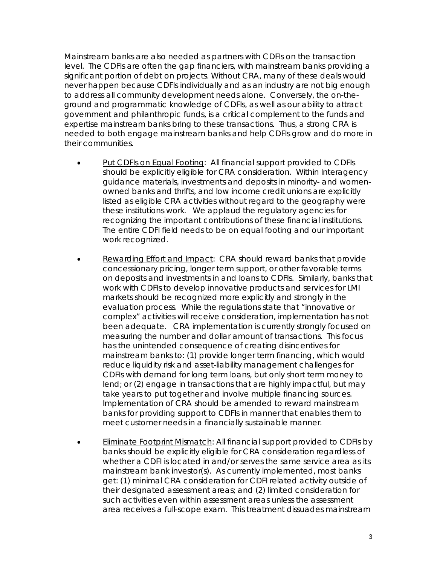Mainstream banks are also needed as partners with CDFIs on the transaction level. The CDFIs are often the gap financiers, with mainstream banks providing a significant portion of debt on projects. Without CRA, many of these deals would never happen because CDFIs individually and as an industry are not big enough to address all community development needs alone. Conversely, the on-theground and programmatic knowledge of CDFIs, as well as our ability to attract government and philanthropic funds, is a critical complement to the funds and expertise mainstream banks bring to these transactions. Thus, a strong CRA is needed to both engage mainstream banks and help CDFIs grow and do more in their communities.

- Put CDFIs on Equal Footing: All financial support provided to CDFIs should be explicitly eligible for CRA consideration. Within Interagency guidance materials, investments and deposits in minority- and womenowned banks and thrifts, and low income credit unions are explicitly listed as eligible CRA activities without regard to the geography were these institutions work. We applaud the regulatory agencies for recognizing the important contributions of these financial institutions. The entire CDFI field needs to be on equal footing and our important work recognized.
- Rewarding Effort and Impact: CRA should reward banks that provide concessionary pricing, longer term support, or other favorable terms on deposits and investments in and loans to CDFIs. Similarly, banks that work with CDFIs to develop innovative products and services for LMI markets should be recognized more explicitly and strongly in the evaluation process. While the regulations state that "innovative or complex" activities will receive consideration, implementation has not been adequate. CRA implementation is currently strongly focused on measuring the number and dollar amount of transactions. This focus has the unintended consequence of creating disincentives for mainstream banks to: (1) provide longer term financing, which would reduce liquidity risk and asset-liability management challenges for CDFIs with demand for long term loans, but only short term money to lend; or (2) engage in transactions that are highly impactful, but may take years to put together and involve multiple financing sources. Implementation of CRA should be amended to reward mainstream banks for providing support to CDFIs in manner that enables them to meet customer needs in a financially sustainable manner.
- Eliminate Footprint Mismatch: All financial support provided to CDFIs by banks should be explicitly eligible for CRA consideration regardless of whether a CDFI is located in and/or serves the same service area as its mainstream bank investor(s). As currently implemented, most banks get: (1) minimal CRA consideration for CDFI related activity outside of their designated assessment areas; and (2) limited consideration for such activities even within assessment areas unless the assessment area receives a full-scope exam. This treatment dissuades mainstream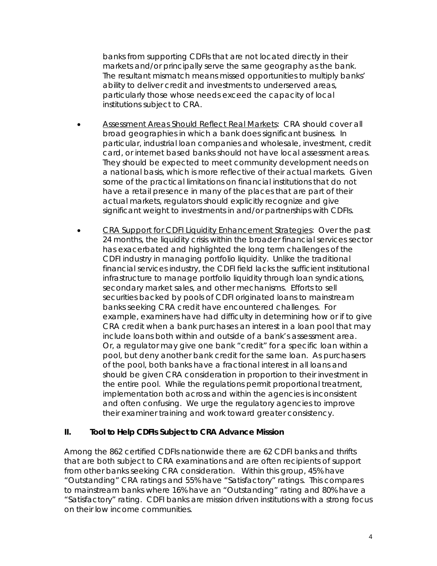banks from supporting CDFIs that are not located directly in their markets and/or principally serve the same geography as the bank. The resultant mismatch means missed opportunities to multiply banks' ability to deliver credit and investments to underserved areas, particularly those whose needs exceed the capacity of local institutions subject to CRA.

- Assessment Areas Should Reflect Real Markets: CRA should cover all broad geographies in which a bank does significant business. In particular, industrial loan companies and wholesale, investment, credit card, or internet based banks should not have local assessment areas. They should be expected to meet community development needs on a national basis, which is more reflective of their actual markets. Given some of the practical limitations on financial institutions that do not have a retail presence in many of the places that are part of their actual markets, regulators should explicitly recognize and give significant weight to investments in and/or partnerships with CDFIs.
- CRA Support for CDFI Liquidity Enhancement Strategies: Over the past 24 months, the liquidity crisis within the broader financial services sector has exacerbated and highlighted the long term challenges of the CDFI industry in managing portfolio liquidity. Unlike the traditional financial services industry, the CDFI field lacks the sufficient institutional infrastructure to manage portfolio liquidity through loan syndications, secondary market sales, and other mechanisms. Efforts to sell securities backed by pools of CDFI originated loans to mainstream banks seeking CRA credit have encountered challenges. For example, examiners have had difficulty in determining how or if to give CRA credit when a bank purchases an interest in a loan pool that may include loans both within and outside of a bank's assessment area. Or, a regulator may give one bank "credit" for a specific loan within a pool, but deny another bank credit for the same loan. As purchasers of the pool, both banks have a fractional interest in all loans and should be given CRA consideration in proportion to their investment in the entire pool. While the regulations permit proportional treatment, implementation both across and within the agencies is inconsistent and often confusing. We urge the regulatory agencies to improve their examiner training and work toward greater consistency.

### **II. Tool to Help CDFIs Subject to CRA Advance Mission**

Among the 862 certified CDFIs nationwide there are 62 CDFI banks and thrifts that are both subject to CRA examinations and are often recipients of support from other banks seeking CRA consideration. Within this group, 45% have "Outstanding" CRA ratings and 55% have "Satisfactory" ratings. This compares to mainstream banks where 16% have an "Outstanding" rating and 80% have a "Satisfactory" rating. CDFI banks are mission driven institutions with a strong focus on their low income communities.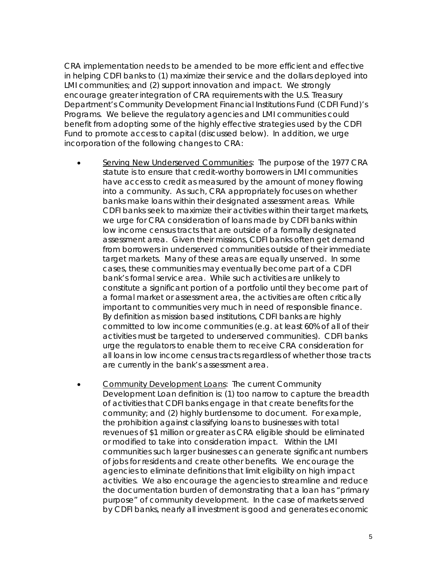CRA implementation needs to be amended to be more efficient and effective in helping CDFI banks to (1) maximize their service and the dollars deployed into LMI communities; and (2) support innovation and impact. We strongly encourage greater integration of CRA requirements with the U.S. Treasury Department's Community Development Financial Institutions Fund (CDFI Fund)'s Programs. We believe the regulatory agencies and LMI communities could benefit from adopting some of the highly effective strategies used by the CDFI Fund to promote access to capital (discussed below). In addition, we urge incorporation of the following changes to CRA:

- Serving New Underserved Communities: The purpose of the 1977 CRA statute is to ensure that credit-worthy borrowers in LMI communities have access to credit as measured by the amount of money flowing into a community. As such, CRA appropriately focuses on whether banks make loans within their designated assessment areas. While CDFI banks seek to maximize their activities within their target markets, we urge for CRA consideration of loans made by CDFI banks within low income census tracts that are outside of a formally designated assessment area. Given their missions, CDFI banks often get demand from borrowers in underserved communities outside of their immediate target markets. Many of these areas are equally unserved. In some cases, these communities may eventually become part of a CDFI bank's formal service area. While such activities are unlikely to constitute a significant portion of a portfolio until they become part of a formal market or assessment area, the activities are often critically important to communities very much in need of responsible finance. By definition as mission based institutions, CDFI banks are highly committed to low income communities (e.g. at least 60% of all of their activities must be targeted to underserved communities). CDFI banks urge the regulators to enable them to receive CRA consideration for all loans in low income census tracts regardless of whether those tracts are currently in the bank's assessment area.
- Community Development Loans: The current Community Development Loan definition is: (1) too narrow to capture the breadth of activities that CDFI banks engage in that create benefits for the community; and (2) highly burdensome to document. For example, the prohibition against classifying loans to businesses with total revenues of \$1 million or greater as CRA eligible should be eliminated or modified to take into consideration impact. Within the LMI communities such larger businesses can generate significant numbers of jobs for residents and create other benefits. We encourage the agencies to eliminate definitions that limit eligibility on high impact activities. We also encourage the agencies to streamline and reduce the documentation burden of demonstrating that a loan has "primary purpose" of community development. In the case of markets served by CDFI banks, nearly all investment is good and generates economic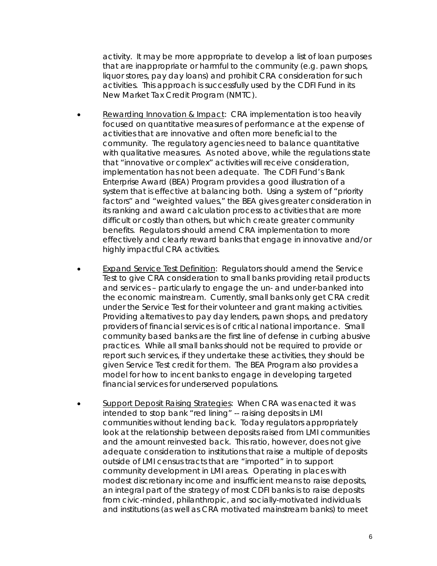activity. It may be more appropriate to develop a list of loan purposes that are inappropriate or harmful to the community (e.g. pawn shops, liquor stores, pay day loans) and prohibit CRA consideration for such activities. This approach is successfully used by the CDFI Fund in its New Market Tax Credit Program (NMTC).

- Rewarding Innovation & Impact: CRA implementation is too heavily focused on quantitative measures of performance at the expense of activities that are innovative and often more beneficial to the community. The regulatory agencies need to balance quantitative with qualitative measures. As noted above, while the regulations state that "innovative or complex" activities will receive consideration, implementation has not been adequate. The CDFI Fund's Bank Enterprise Award (BEA) Program provides a good illustration of a system that is effective at balancing both. Using a system of "priority factors" and "weighted values," the BEA gives greater consideration in its ranking and award calculation process to activities that are more difficult or costly than others, but which create greater community benefits. Regulators should amend CRA implementation to more effectively and clearly reward banks that engage in innovative and/or highly impactful CRA activities.
- Expand Service Test Definition: Regulators should amend the Service Test to give CRA consideration to small banks providing retail products and services – particularly to engage the un- and under-banked into the economic mainstream. Currently, small banks only get CRA credit under the Service Test for their volunteer and grant making activities. Providing alternatives to pay day lenders, pawn shops, and predatory providers of financial services is of critical national importance. Small community based banks are the first line of defense in curbing abusive practices. While all small banks should not be required to provide or report such services, if they undertake these activities, they should be given Service Test credit for them. The BEA Program also provides a model for how to incent banks to engage in developing targeted financial services for underserved populations.
- Support Deposit Raising Strategies: When CRA was enacted it was intended to stop bank "red lining" -- raising deposits in LMI communities without lending back. Today regulators appropriately look at the relationship between deposits raised from LMI communities and the amount reinvested back. This ratio, however, does not give adequate consideration to institutions that raise a multiple of deposits outside of LMI census tracts that are "imported" in to support community development in LMI areas. Operating in places with modest discretionary income and insufficient means to raise deposits, an integral part of the strategy of most CDFI banks is to raise deposits from civic-minded, philanthropic, and socially-motivated individuals and institutions (as well as CRA motivated mainstream banks) to meet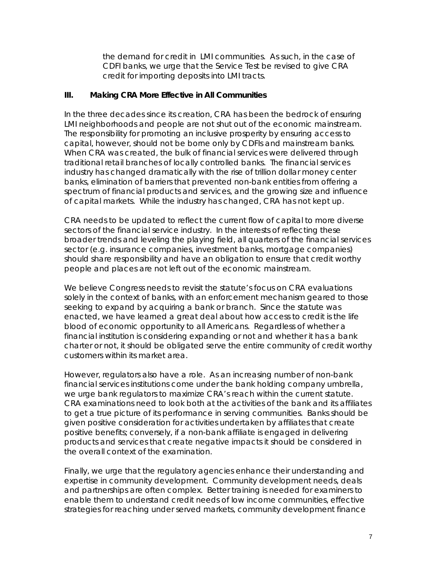the demand for credit in LMI communities. As such, in the case of CDFI banks, we urge that the Service Test be revised to give CRA credit for importing deposits into LMI tracts.

#### **III. Making CRA More Effective in All Communities**

In the three decades since its creation, CRA has been the bedrock of ensuring LMI neighborhoods and people are not shut out of the economic mainstream. The responsibility for promoting an inclusive prosperity by ensuring access to capital, however, should not be borne only by CDFIs and mainstream banks. When CRA was created, the bulk of financial services were delivered through traditional retail branches of locally controlled banks. The financial services industry has changed dramatically with the rise of trillion dollar money center banks, elimination of barriers that prevented non-bank entities from offering a spectrum of financial products and services, and the growing size and influence of capital markets. While the industry has changed, CRA has not kept up.

CRA needs to be updated to reflect the current flow of capital to more diverse sectors of the financial service industry. In the interests of reflecting these broader trends and leveling the playing field, all quarters of the financial services sector (e.g. insurance companies, investment banks, mortgage companies) should share responsibility and have an obligation to ensure that credit worthy people and places are not left out of the economic mainstream.

We believe Congress needs to revisit the statute's focus on CRA evaluations solely in the context of banks, with an enforcement mechanism geared to those seeking to expand by acquiring a bank or branch. Since the statute was enacted, we have learned a great deal about how access to credit is the life blood of economic opportunity to all Americans. Regardless of whether a financial institution is considering expanding or not and whether it has a bank charter or not, it should be obligated serve the entire community of credit worthy customers within its market area.

However, regulators also have a role. As an increasing number of non-bank financial services institutions come under the bank holding company umbrella, we urge bank regulators to maximize CRA's reach within the current statute. CRA examinations need to look both at the activities of the bank and its affiliates to get a true picture of its performance in serving communities. Banks should be given positive consideration for activities undertaken by affiliates that create positive benefits; conversely, if a non-bank affiliate is engaged in delivering products and services that create negative impacts it should be considered in the overall context of the examination.

Finally, we urge that the regulatory agencies enhance their understanding and expertise in community development. Community development needs, deals and partnerships are often complex. Better training is needed for examiners to enable them to understand credit needs of low income communities, effective strategies for reaching under served markets, community development finance